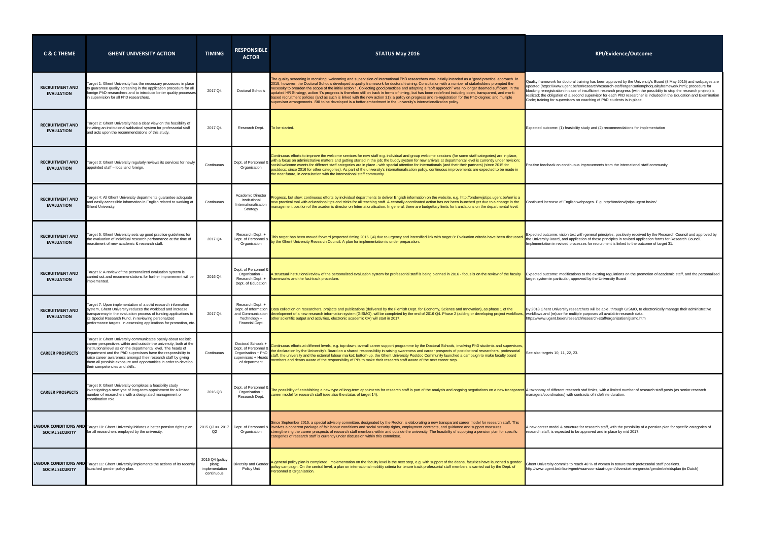## **STATUS May 2016 KPI/Evidence/Outcome**

Quality framework for doctoral training has been approved by the University's Board (8 May 2015) and webpages are<br>updated (https://www.ugent.be/en/research/research-staff/organisation/phdqualityframework.htm); procedure fo code; training of PhD students is in place.

ibility study and (2) recommendations for implementation

uous improvements from the international staff community

sh webpages. E.g. http://onderwijstips.ugent.be/en/

Expected outcome: vision text with general principles, positively received by the Research Council and approved by<br>the University Board, and application of these principles in revised application forms for Research Council

esearchers will be able, through GISMO, to electronically manage their administrative workflows and (re)use for multiple purposes all available research data. https://www.ugent.be/en/research/research-staff/organisation/gismo.htm

a taxonomy start froles, with a limited number of research staff posts (as senior research n contracts of indefinite duration.

| <b>C &amp; C THEME</b>                      | <b>GHENT UNIVERSITY ACTION</b>                                                                                                                                                                                                                                                                                                                                                                                                                 | <b>TIMING</b>                                             | <b>RESPONSIBLE</b><br><b>ACTOR</b>                                                                       | <b>STATUS May 2016</b>                                                                                                                                                                                                                                                                                                                                                                                                                                                                                                                                                                                                                                                                                                                                                                                                                                                                                              |                                                                                                                                                                                      |
|---------------------------------------------|------------------------------------------------------------------------------------------------------------------------------------------------------------------------------------------------------------------------------------------------------------------------------------------------------------------------------------------------------------------------------------------------------------------------------------------------|-----------------------------------------------------------|----------------------------------------------------------------------------------------------------------|---------------------------------------------------------------------------------------------------------------------------------------------------------------------------------------------------------------------------------------------------------------------------------------------------------------------------------------------------------------------------------------------------------------------------------------------------------------------------------------------------------------------------------------------------------------------------------------------------------------------------------------------------------------------------------------------------------------------------------------------------------------------------------------------------------------------------------------------------------------------------------------------------------------------|--------------------------------------------------------------------------------------------------------------------------------------------------------------------------------------|
| <b>RECRUITMENT AND</b><br><b>EVALUATION</b> | Target 1: Ghent University has the necessary processes in place<br>to guarantee quality screening in the application procedure for all<br>foreign PhD researchers and to introduce better quality processes<br>in supervision for all PhD researchers.                                                                                                                                                                                         | 2017 Q4                                                   | Doctoral Schools                                                                                         | The quality screening in recruiting, welcoming and supervision of international PhD researchers was initially intended as a 'good practice' approach. In<br>2015, however, the Doctoral Schools developed a quality framework for doctoral training. Consultation with a number of stakeholders prompted the<br>necessity to broaden the scope of the initial action 1. Collecting good practices and adopting a "soft approach" was no longer deemed sufficient. In the<br>updated HR Strategy, action 1's progress is therefore still on track in terms of timing, but has been redefined including open, transparent, and merit-<br>based recruitment policies (and as such is linked with the new action 31); a policy on progress and re-registration for the PhD degree; and multiple<br>supervisor arrangements. Still to be developed is a better embedment in the university's internationalization policy | Quality framework for doctoral tr<br>updated (https://www.ugent.be/<br>blocking re-registration in case o<br>realized; the obligation of a seco<br>Code; training for supervisors or |
| <b>RECRUITMENT AND</b><br><b>EVALUATION</b> | Target 2: Ghent University has a clear view on the feasibility of<br>initiating an institutional sabbatical system for professorial staff<br>and acts upon the recommendations of this study.                                                                                                                                                                                                                                                  | 2017 Q4                                                   | Research Dept.                                                                                           | o be started.                                                                                                                                                                                                                                                                                                                                                                                                                                                                                                                                                                                                                                                                                                                                                                                                                                                                                                       | Expected outcome: (1) feasibility                                                                                                                                                    |
| <b>RECRUITMENT AND</b><br><b>EVALUATION</b> | Target 3: Ghent University regularly reviews its services for newly<br>appointed staff - local and foreign.                                                                                                                                                                                                                                                                                                                                    | Continuous                                                | Dept. of Personnel 8<br>Organisation                                                                     | Continuous efforts to improve the welcome services for new staff e.g. individual and group welcome sessions (for some staff categories) are in place,<br>with a focus on administrative matters and getting started in the job; the buddy system for new arrivals at departmental level is currently under revision;<br>social welcome events for different staff categories are in place - with special attention for internationals (and their their partners) (since 2015 for<br>postdocs; since 2016 for other categories). As part of the university's internationalisation policy, continuous improvements are expected to be made in<br>the near future, in consultation with the international staff community.                                                                                                                                                                                             | Positive feedback on continuous                                                                                                                                                      |
| <b>RECRUITMENT AND</b><br><b>EVALUATION</b> | Target 4: All Ghent University departments guarantee adequate<br>and easily accessible information in English related to working at<br>Ghent University.                                                                                                                                                                                                                                                                                       | Continuous                                                | <b>Academic Director</b><br>Institutional<br>Internationalisation<br>Strategy                            | rogress, but slow: continuous efforts by individual departments to deliver English information on the website, e.g. http://onderwijstips.ugent.be/en/ is a<br>lew practical tool with educational tips and tricks for all teaching staff. A centrally coordinated action has not been launched yet due to a change in the<br>nanagement position of the academic director on Internationalisation. In general, there are budgettary limits for translations on the departmental level.                                                                                                                                                                                                                                                                                                                                                                                                                              | Continued increase of English w                                                                                                                                                      |
| <b>RECRUITMENT AND</b><br><b>EVALUATION</b> | Target 5: Ghent University sets up good practice guidelines for<br>the evaluation of individual research performance at the time of<br>recruitment of new academic & research staff                                                                                                                                                                                                                                                            | 2017 Q4                                                   | Research Dept. +<br>Dept. of Personnel &<br>Organisation                                                 | This target has been moved forward (expected timing 2016 Q4) due to urgency and intensified link with target 8: Evaluation criteria have been discussed<br>by the Ghent University Research Council. A plan for implementation is under preparation.                                                                                                                                                                                                                                                                                                                                                                                                                                                                                                                                                                                                                                                                | Expected outcome: vision text w<br>the University Board, and applic<br>Implementation in revised proce                                                                               |
| <b>RECRUITMENT AND</b><br><b>EVALUATION</b> | Target 6: A review of the personalized evaluation system is<br>carried out and recommendations for further improvement will be<br>implemented.                                                                                                                                                                                                                                                                                                 | 2016 Q4                                                   | Dept. of Personnel &<br>Organisation +<br>Research Dept. +<br>Dept. of Education                         | A structual institutional review of the personalized evaluation system for professorial staff is being planned in 2016 - focus is on the review of the faculty<br>rameworks and the fast-track procedure.                                                                                                                                                                                                                                                                                                                                                                                                                                                                                                                                                                                                                                                                                                           | Expected outcome: modification<br>target system in particular, appro                                                                                                                 |
| <b>RECRUITMENT AND</b><br><b>EVALUATION</b> | Target 7: Upon implementation of a solid research information<br>system, Ghent University reduces the workload and increase<br>transparency in the evaluation process of funding applications to<br>its Special Research Fund, in reviewing personalized<br>bertormance targets, in assessing applications for promotion, etc                                                                                                                  | 2017 Q4                                                   | Research Dept. +<br>Dept. of Information<br>Technology +<br>Financial Dept.                              | Data collection on researchers, projects and publications (delivered by the Flemish Dept. for Economy, Science and Innovation), as phase 1 of the<br>and Communication development of a new research information system (GISMO), will be completed by the end of 2016 Q4. Phase 2 (adding or developing project workflows, workflows and (re)use for multip<br>other scientific output and activities, electronic academic CV) will start in 2017.                                                                                                                                                                                                                                                                                                                                                                                                                                                                  | By 2018 Ghent University resea<br>https://www.ugent.be/en/researd                                                                                                                    |
| <b>CAREER PROSPECTS</b>                     | Target 8: Ghent University communicates openly about realistic<br>career perspectives within and outside the university, both at the<br>institutional level as on the departmental level. The heads of<br>department and the PhD supervisors have the responsibility to<br>raise career awareness amongst their research staff by giving<br>them all possible exposure and opportunities in order to develop<br>their competencies and skills. | Continuous                                                | Doctoral Schools +<br>Dept. of Personnel &<br>Organisation + PhD<br>supervisors + Heads<br>of department | Continuous efforts at different levels, e.g. top-down, overall career support programme by the Doctoral Schools, involving PhD students and supervisors.<br>he declaration by the University's Board on a shared responsibility in raising awareness and career prospects of postdoctoral researchers, professorial<br>staff, the university and the external labour market; bottom-up, the Ghent University Postdoc Community launched a campaign to make faculty board<br>nembers and deans aware of the responsibility of PI's to make their research staff aware of the next career step.                                                                                                                                                                                                                                                                                                                       | See also targets 10, 11, 22, 23.                                                                                                                                                     |
| <b>CAREER PROSPECTS</b>                     | Target 9: Ghent University completes a feasibility study<br>investigating a new type of long-term appointment for a limited<br>number of researchers with a designated management or<br>coordination role.                                                                                                                                                                                                                                     | 2016 Q3                                                   | Dept. of Personnel &<br>Organisation +<br>Research Dept.                                                 | The possibility of establishing a new type of long-term appointents for research staff is part of the analysis and ongoing negotiations on a new transparent A taxonomy of different research<br>career model for research staff (see also the status of target 14).                                                                                                                                                                                                                                                                                                                                                                                                                                                                                                                                                                                                                                                | nanagers/coordinators) with cor                                                                                                                                                      |
| <b>SOCIAL SECURITY</b>                      | LABOUR CONDITIONS AND Target 10: Ghent University initiates a better pension rights plan<br>for all researchers employed by the university.                                                                                                                                                                                                                                                                                                    | Q2                                                        | Organisation                                                                                             | Since September 2015, a special advisory committee, designated by the Rector, is elaborating a new transparant career model for research staff. This<br>2015 Q3 => 2017 Dept. of Personnel & involves a coherent package of fair labour conditions and social security rights, employment contracts, and guidance and support measures<br>strengthening the career prospects of research staff members within and outside the university. The feasibility of supplying a pension plan for specific<br>categories of research staff is currently under discussion within this committee.                                                                                                                                                                                                                                                                                                                             | A new career model & structure<br>research staff, is expected to be                                                                                                                  |
| <b>SOCIAL SECURITY</b>                      | LABOUR CONDITIONS AND Target 11: Ghent University implements the actions of its recently<br>launched gender policy plan.                                                                                                                                                                                                                                                                                                                       | 2015 Q4 (policy<br>plan);<br>implementation<br>continuous | Diversity and Gender<br>Policy Unit                                                                      | A general policy plan is completed. Implementation on the faculty level is the next step, e.g. with support of the deans, faculties have launched a gender<br>oolicy campaign. On the central level, a plan on international mobility criteria for tenure track professorial staff members is carried out by the Dept. of<br>Personnel & Organisation.                                                                                                                                                                                                                                                                                                                                                                                                                                                                                                                                                              | Ghent University commits to rea<br>http://www.ugent.be/nl/univgent/                                                                                                                  |

Expected outcome: modifications to the existing regulations on the promotion of academic staff, and the personalised target system in particular, approved by the University Board

A new career model & structure for research staff, with the possibility of a pension plan for specific categories of research staff, is expected to be approved and in place by mid 2017.

Ghent University commits to reach 40 % of women in tenure track professorial staff positions. http://www.ugent.be/nl/univgent/waarvoor-staat-ugent/diversiteit-en-gender/genderbeleidsplan (in Dutch)